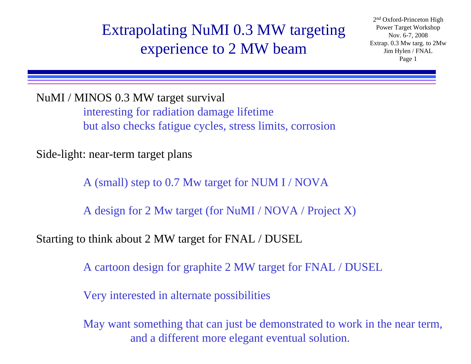### Extrapolating NuMI 0.3 MW targeting experience to 2 MW beam

2n<sup>d</sup> Oxford-Princeton High Power Target Workshop Nov. 6-7, 2008 Extrap. 0.3 Mw targ. to 2Mw Jim Hylen / FNAL Page 1

NuMI / MINOS 0.3 MW target survival interesting for radiation damage lifetime

but also checks fatigue cycles, stress limits, corrosion

Side-light: near-term target plans

A (small) step to 0.7 Mw target for NUM I / NOVA

A design for 2 Mw target (for NuMI / NOVA / Project X)

Starting to think about 2 MW target for FNAL / DUSEL

A cartoon design for graphite 2 MW target for FNAL / DUSEL

Very interested in alternate possibilities

May want something that can just be demonstrated to work in the near term, and a different more elegant eventual solution.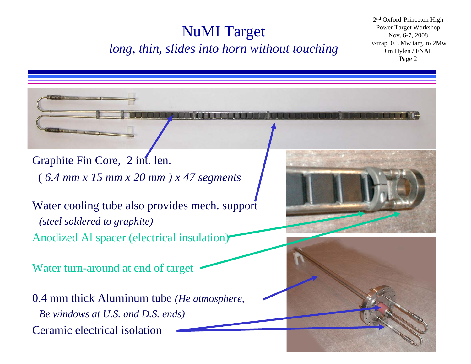#### NuMI Target *long, thin, slides into horn without touching*

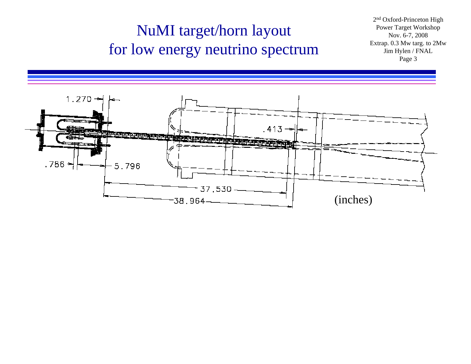### NuMI target/horn layout for low energy neutrino spectrum

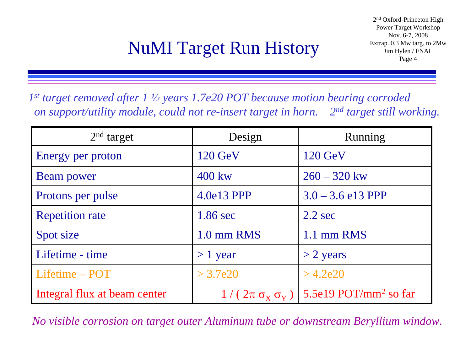# NuMI Target Run History Extrap. 0.3 Mw tars

*1st target removed after 1 ½ years 1.7e20 POT because motion bearing corroded on support/utility module, could not re-insert target in horn. 2nd target still working.*

| $2nd$ target                 | Design                                   | Running                           |
|------------------------------|------------------------------------------|-----------------------------------|
| Energy per proton            | $120 \text{ GeV}$                        | $120 \text{ GeV}$                 |
| <b>Beam power</b>            | 400 kw                                   | $260 - 320$ kw                    |
| Protons per pulse            | 4.0e13 PPP                               | $3.0 - 3.6$ e13 PPP               |
| <b>Repetition rate</b>       | 1.86 sec                                 | $2.2$ sec                         |
| Spot size                    | 1.0 mm RMS                               | 1.1 mm RMS                        |
| Lifetime - time              | $> 1$ year                               | $>$ 2 years                       |
| Lifetime - POT               | > 3.7e20                                 | $>$ 4.2e20                        |
| Integral flux at beam center | $1/(2\pi \sigma_{\rm X} \sigma_{\rm Y})$ | 5.5e19 POT/mm <sup>2</sup> so far |

*No visible corrosion on target outer Aluminum tube or downstream Beryllium window.*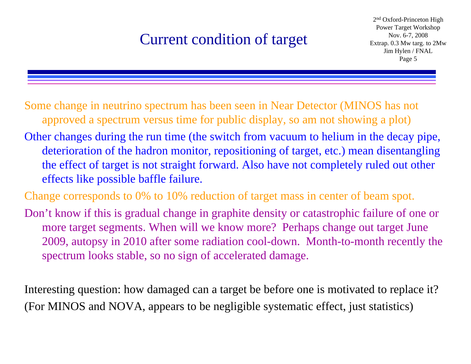### Current condition of target

2n<sup>d</sup> Oxford-Princeton High Power Target Workshop Nov. 6-7, 2008 Extrap. 0.3 Mw targ. to 2Mw Jim Hylen / FNAL Page 5

Some change in neutrino spectrum has been seen in Near Detector (MINOS has not approved a spectrum versus time for public display, so am not showing a plot)

Other changes during the run time (the switch from vacuum to helium in the decay pipe, deterioration of the hadron monitor, repositioning of target, etc.) mean disentangling the effect of target is not straight forward. Also have not completely ruled out other effects like possible baffle failure.

Change corresponds to 0% to 10% reduction of target mass in center of beam spot.

Don't know if this is gradual change in graphite density or catastrophic failure of one or more target segments. When will we know more? Perhaps change out target June 2009, autopsy in 2010 after some radiation cool-down. Month-to-month recently the spectrum looks stable, so no sign of accelerated damage.

Interesting question: how damaged can a target be before one is motivated to replace it? (For MINOS and NOVA, appears to be negligible systematic effect, just statistics)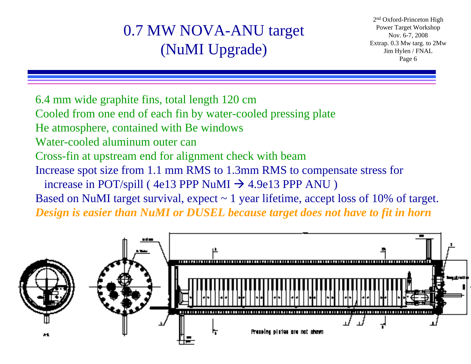### 0.7 MW NOVA-ANU target (NuMI Upgrade)

2n<sup>d</sup> Oxford-Princeton High Power Target Workshop Nov. 6-7, 2008 Extrap. 0.3 Mw targ. to 2Mw Jim Hylen / FNAL Page 6

- 6.4 mm wide graphite fins, total length 120 cm
- Cooled from one end of each fin by water-cooled pressing plate
- He atmosphere, contained with Be windows
- Water-cooled aluminum outer can
- Cross-fin at upstream end for alignment check with beam
- Increase spot size from 1.1 mm RMS to 1.3mm RMS to compensate stress for
- increase in POT/spill (  $4e13$  PPP NuMI  $\rightarrow$  4.9e13 PPP ANU )
- Based on NuMI target survival, expect  $\sim$  1 year lifetime, accept loss of 10% of target.

*Design is easier than NuMI or DUSEL because target does not have to fit in horn*

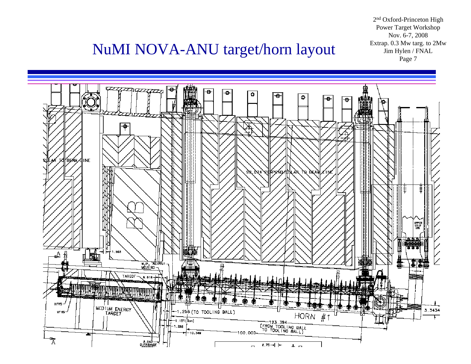2n<sup>d</sup> Oxford-Princeton High Power Target Workshop Nov. 6-7, 2008 Extrap. 0.3 Mw targ. to 2Mw Jim Hylen / FNAL

### **NuMI NOVA-ANU target/horn layout**

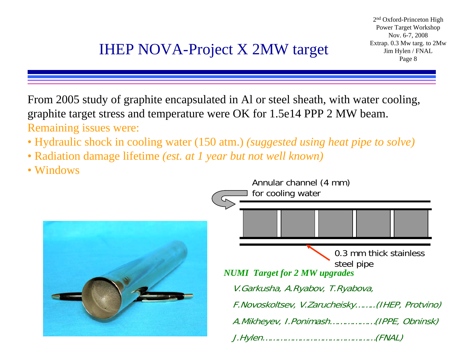From 2005 study of graphite encapsulated in Al or steel sheath, with water cooling, graphite target stress and temperature were OK for 1.5e14 PPP 2 MW beam. Remaining issues were:

- Hydraulic shock in cooling water (150 atm.) *(suggested using heat pipe to solve)*
- Radiation damage lifetime *(est. at 1 year but not well known)*
- Windows

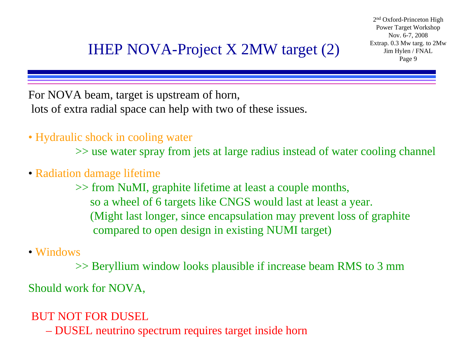For NOVA beam, target is upstream of horn, lots of extra radial space can help with two of these issues.

• Hydraulic shock in cooling water

>> use water spray from jets at large radius instead of water cooling channel

• Radiation damage lifetime

>> from NuMI, graphite lifetime at least a couple months, so a wheel of 6 targets like CNGS would last at least a year. (Might last longer, since encapsulation may prevent loss of graphite compared to open design in existing NUMI target)

• Windows

>> Beryllium window looks plausible if increase beam RMS to 3 mm

Should work for NOVA,

BUT NOT FOR DUSEL

DUSEL neutrino spectrum requires target inside horn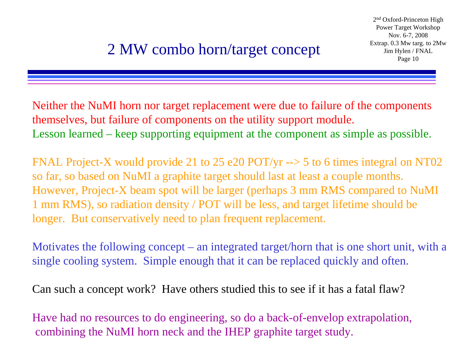Neither the NuMI horn nor target replacement were due to failure of the components themselves, but failure of components on the utility support module. Lesson learned – keep supporting equipment at the component as simple as possible.

FNAL Project-X would provide 21 to 25 e20 POT/yr --> 5 to 6 times integral on NT02 so far, so based on NuMI a graphite target should last at least a couple months. However, Project-X beam spot will be larger (perhaps 3 mm RMS compared to NuMI 1 mm RMS), so radiation density / POT will be less, and target lifetime should be longer. But conservatively need to plan frequent replacement.

Motivates the following concept – an integrated target/horn that is one short unit, with a single cooling system. Simple enough that it can be replaced quickly and often.

Can such a concept work? Have others studied this to see if it has a fatal flaw?

Have had no resources to do engineering, so do a back-of-envelop extrapolation, combining the NuMI horn neck and the IHEP graphite target study.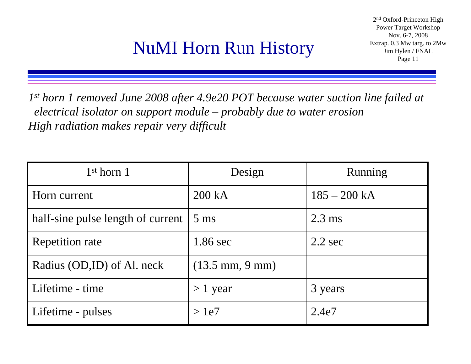# **NuMI Horn Run History** Extrap. 0.3 Mw tar

*1st horn 1 removed June 2008 after 4.9e20 POT because water suction line failed at electrical isolator on support module – probably due to water erosion High radiation makes repair very difficult*

| $1st$ horn $1$                    | Design                            | Running           |
|-----------------------------------|-----------------------------------|-------------------|
| Horn current                      | 200 kA                            | $185 - 200 kA$    |
| half-sine pulse length of current | $5 \text{ ms}$                    | $2.3 \text{ ms}$  |
| <b>Repetition rate</b>            | $1.86 \text{ sec}$                | $2.2 \text{ sec}$ |
| Radius (OD,ID) of Al. neck        | $(13.5 \text{ mm}, 9 \text{ mm})$ |                   |
| Lifetime - time                   | $> 1$ year                        | 3 years           |
| Lifetime - pulses                 | >1e7                              | 2.4e7             |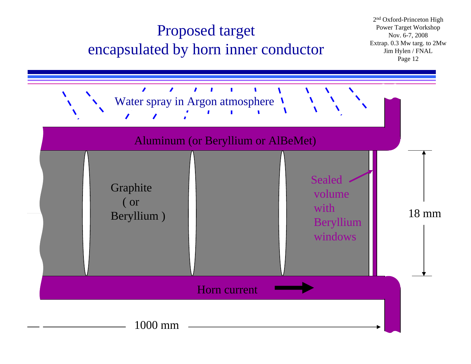### Proposed target encapsulated by horn inner conductor

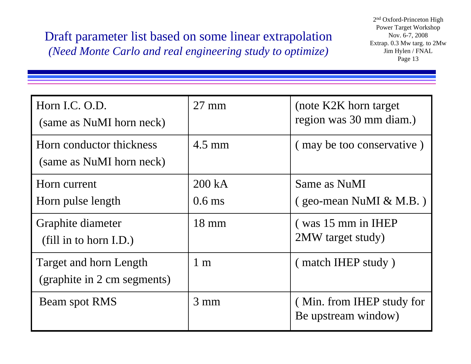Draft parameter list based on some linear extrapolation *(Need Monte Carlo and real engineering study to optimize)*

| Horn I.C. O.D.<br>(same as NuMI horn neck)            | $27 \text{ mm}$    | (note K2K horn target)<br>region was 30 mm diam.) |
|-------------------------------------------------------|--------------------|---------------------------------------------------|
| Horn conductor thickness<br>(same as NuMI horn neck)  | $4.5 \text{ mm}$   | (may be too conservative)                         |
| Horn current<br>Horn pulse length                     | 200 kA<br>$0.6$ ms | Same as NuMI<br>$(geo-mean$ NuMI & M.B.)          |
| Graphite diameter<br>$(fill$ in to horn I.D.)         | $18 \text{ mm}$    | (was 15 mm in IHEP)<br>2MW target study)          |
| Target and horn Length<br>(graphite in 2 cm segments) | $1 \text{ m}$      | (match IHEP study)                                |
| Beam spot RMS                                         | $3 \text{ mm}$     | (Min. from IHEP study for<br>Be upstream window)  |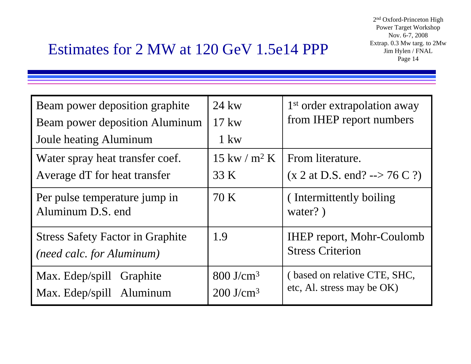### Estimates for 2 MW at 120 GeV 1.5e14 PPP

| Beam power deposition graphite                                              | $24 \text{kw}$                         | 1 <sup>st</sup> order extrapolation away                    |
|-----------------------------------------------------------------------------|----------------------------------------|-------------------------------------------------------------|
| Beam power deposition Aluminum                                              | $17 \text{kw}$                         | from IHEP report numbers                                    |
| <b>Joule heating Aluminum</b>                                               | $1 \text{kw}$                          |                                                             |
| Water spray heat transfer coef.                                             | $15 \text{ kw} / \text{m}^2 \text{ K}$ | From literature.                                            |
| Average dT for heat transfer                                                | 33 K                                   | $(x 2 at D.S. end? -- > 76 C?)$                             |
| Per pulse temperature jump in<br>Aluminum D.S. end                          | 70 K                                   | (Intermittently boiling)<br>water?)                         |
| <b>Stress Safety Factor in Graphite</b><br><i>(need calc. for Aluminum)</i> | 1.9                                    | <b>IHEP</b> report, Mohr-Coulomb<br><b>Stress Criterion</b> |
| Max. Edep/spill Graphite                                                    | $800$ J/cm <sup>3</sup>                | (based on relative CTE, SHC,                                |
| Max. Edep/spill Aluminum                                                    | $200$ J/cm <sup>3</sup>                | etc, Al. stress may be OK)                                  |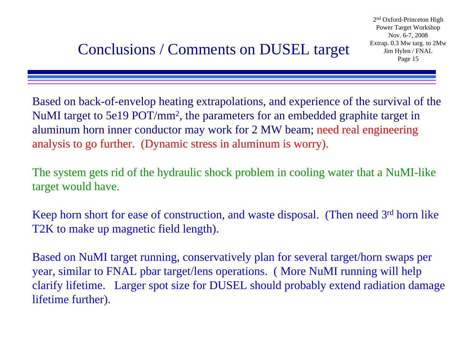Based on back-of-envelop heating extrapolations, and experience of the survival of the NuMI target to 5e19 POT/mm 2, the parameters for an embedded graphite target in aluminum horn inner conductor may work for 2 MW beam; need real engineering analysis to go further. (Dynamic stress in aluminum is worry).

The system gets rid of the hydraulic shock problem in cooling water that a NuMI-like target would have.

Keep horn short for ease of construction, and waste disposal. (Then need 3<sup>rd</sup> horn like T2K to make up magnetic field length).

Based on NuMI target running, conservatively plan for several target/horn swaps per year, similar to FNAL pbar target/lens operations. ( More NuMI running will help clarify lifetime. Larger spot size for DUSEL should probably extend radiation damage lifetime further).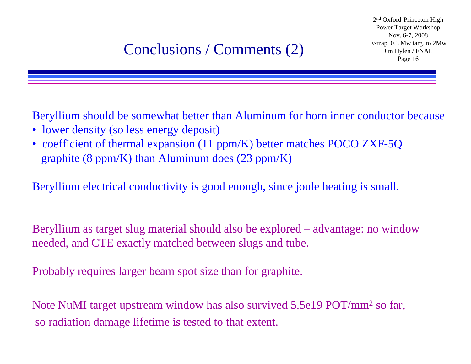# $\text{Conclusions / Comments (2)}$  Franch Straight Conclusions / Comments (2)

2n<sup>d</sup> Oxford-Princeton High Power Target Workshop Nov. 6-7, 2008 Extrap. 0.3 Mw targ. to 2Mw Jim Hylen / FNAL

Beryllium should be somewhat better than Aluminum for horn inner conductor because

- lower density (so less energy deposit)
- coefficient of thermal expansion (11 ppm/K) better matches POCO ZXF-5Q graphite (8 ppm/K) than Aluminum does  $(23 \text{ ppm/K})$

Beryllium electrical conductivity is good enough, since joule heating is small.

Beryllium as target slug material should also be explored – advantage: no window needed, and CTE exactly matched between slugs and tube.

Probably requires larger beam spot size than for graphite.

Note NuMI target upstream window has also survived 5.5e19 POT/mm<sup>2</sup> so far, so radiation damage lifetime is tested to that extent.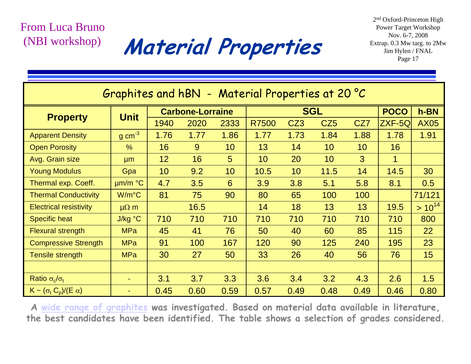#### From Luca Bruno(NBI workshop)

Material Properties Extrap. 0.3 Mw targ. to 2

2n<sup>d</sup> Oxford-Princeton High Power Target Workshop Nov. 6-7, 2008 Extrap. 0.3 Mw targ. to 2Mw

| Graphites and hBN - Material Properties at 20 °C |                          |                         |      |            |       |                 |                 |                 |             |             |
|--------------------------------------------------|--------------------------|-------------------------|------|------------|-------|-----------------|-----------------|-----------------|-------------|-------------|
|                                                  | <b>Unit</b>              | <b>Carbone-Lorraine</b> |      | <b>SGL</b> |       |                 | <b>POCO</b>     | h-BN            |             |             |
| <b>Property</b>                                  |                          | 1940                    | 2020 | 2333       | R7500 | CZ <sub>3</sub> | CZ <sub>5</sub> | CZ7             | ZXF-5Q      | <b>AX05</b> |
| <b>Apparent Density</b>                          | $g \text{ cm}^{-3}$      | 1.76                    | 1.77 | 1.86       | 1.77  | 1.73            | 1.84            | 1.88            | 1.78        | 1.91        |
| <b>Open Porosity</b>                             | $\frac{0}{0}$            | 16                      | 9    | 10         | 13    | 14              | 10 <sup>°</sup> | 10 <sup>°</sup> | 16          |             |
| Avg. Grain size                                  | µm                       | 12                      | 16   | 5          | 10    | 20              | 10              | 3               | $\mathbf 1$ |             |
| <b>Young Modulus</b>                             | Gpa                      | 10                      | 9.2  | 10         | 10.5  | 10 <sup>°</sup> | 11.5            | 14              | 14.5        | 30          |
| Thermal exp. Coeff.                              | um/m °C                  | 4.7                     | 3.5  | 6          | 3.9   | 3.8             | 5.1             | 5.8             | 8.1         | 0.5         |
| <b>Thermal Conductivity</b>                      | $W/m^{\circ}C$           | 81                      | 75   | 90         | 80    | 65              | 100             | 100             |             | 71/121      |
| <b>Electrical resistivity</b>                    | $\mu\Omega$ m            |                         | 16.5 |            | 14    | 18              | 13              | 13              | 19.5        | $> 10^{14}$ |
| <b>Specific heat</b>                             | J/kg °C                  | 710                     | 710  | 710        | 710   | 710             | 710             | 710             | 710         | 800         |
| <b>Flexural strength</b>                         | <b>MPa</b>               | 45                      | 41   | 76         | 50    | 40              | 60              | 85              | 115         | 22          |
| <b>Compressive Strength</b>                      | <b>MPa</b>               | 91                      | 100  | 167        | 120   | 90              | 125             | 240             | 195         | 23          |
| Tensile strength                                 | <b>MPa</b>               | 30                      | 27   | 50         | 33    | 26              | 40              | 56              | 76          | 15          |
|                                                  |                          |                         |      |            |       |                 |                 |                 |             |             |
| Ratio $\sigma_{\rm c}/\sigma_{\rm t}$            | $\overline{\phantom{0}}$ | 3.1                     | 3.7  | 3.3        | 3.6   | 3.4             | 3.2             | 4.3             | 2.6         | 1.5         |
| $K \sim (\sigma_t C_p)/(E \alpha)$               | ٠                        | 0.45                    | 0.60 | 0.59       | 0.57  | 0.49            | 0.48            | 0.49            | 0.46        | 0.80        |

**A wide range of graphites was investigated. Based on material data available in literature, the best candidates have been identified. The table shows a selection of grades considered.**